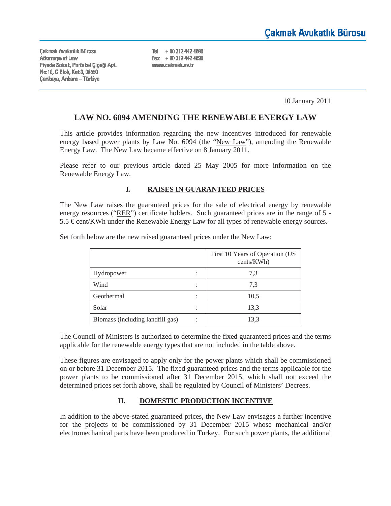**Cakmak Avukatlık Bürosu** Attorneys at Law Piyade Sokak, Portakal Çiçeği Apt. No. 18, C Blok, Kat. 3, 06550 **Çankaya, Ankara - Türkiye** 

Tel + 90 312 442 4680 Fax + 90 312 442 4690 www.cakmak.av.tr

10 January 2011

### **LAW NO. 6094 AMENDING THE RENEWABLE ENERGY LAW**

This article provides information regarding the new incentives introduced for renewable energy based power plants by Law No. 6094 (the "New Law"), amending the Renewable Energy Law. The New Law became effective on 8 January 2011.

Please refer to our previous article dated 25 May 2005 for more information on the Renewable Energy Law.

#### **I. RAISES IN GUARANTEED PRICES**

The New Law raises the guaranteed prices for the sale of electrical energy by renewable energy resources ("RER") certificate holders. Such guaranteed prices are in the range of 5 -5.5 € cent/KWh under the Renewable Energy Law for all types of renewable energy sources.

|                                  | First 10 Years of Operation (US<br>cents/KWh) |
|----------------------------------|-----------------------------------------------|
| Hydropower                       | 7.3                                           |
| Wind                             | 7.3                                           |
| Geothermal                       | 10,5                                          |
| Solar                            | 13,3                                          |
| Biomass (including landfill gas) | 13,3                                          |

Set forth below are the new raised guaranteed prices under the New Law:

The Council of Ministers is authorized to determine the fixed guaranteed prices and the terms applicable for the renewable energy types that are not included in the table above.

These figures are envisaged to apply only for the power plants which shall be commissioned on or before 31 December 2015. The fixed guaranteed prices and the terms applicable for the power plants to be commissioned after 31 December 2015, which shall not exceed the determined prices set forth above, shall be regulated by Council of Ministers' Decrees.

#### **II. DOMESTIC PRODUCTION INCENTIVE**

In addition to the above-stated guaranteed prices, the New Law envisages a further incentive for the projects to be commissioned by 31 December 2015 whose mechanical and/or electromechanical parts have been produced in Turkey. For such power plants, the additional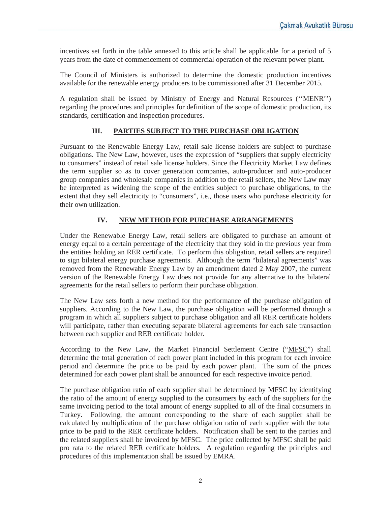incentives set forth in the table annexed to this article shall be applicable for a period of 5 years from the date of commencement of commercial operation of the relevant power plant.

The Council of Ministers is authorized to determine the domestic production incentives available for the renewable energy producers to be commissioned after 31 December 2015.

A regulation shall be issued by Ministry of Energy and Natural Resources (''MENR'') regarding the procedures and principles for definition of the scope of domestic production, its standards, certification and inspection procedures.

### **III. PARTIES SUBJECT TO THE PURCHASE OBLIGATION**

Pursuant to the Renewable Energy Law, retail sale license holders are subject to purchase obligations. The New Law, however, uses the expression of "suppliers that supply electricity to consumers" instead of retail sale license holders. Since the Electricity Market Law defines the term supplier so as to cover generation companies, auto-producer and auto-producer group companies and wholesale companies in addition to the retail sellers, the New Law may be interpreted as widening the scope of the entities subject to purchase obligations, to the extent that they sell electricity to "consumers", i.e., those users who purchase electricity for their own utilization.

### **IV. NEW METHOD FOR PURCHASE ARRANGEMENTS**

Under the Renewable Energy Law, retail sellers are obligated to purchase an amount of energy equal to a certain percentage of the electricity that they sold in the previous year from the entities holding an RER certificate. To perform this obligation, retail sellers are required to sign bilateral energy purchase agreements. Although the term "bilateral agreements" was removed from the Renewable Energy Law by an amendment dated 2 May 2007, the current version of the Renewable Energy Law does not provide for any alternative to the bilateral agreements for the retail sellers to perform their purchase obligation.

The New Law sets forth a new method for the performance of the purchase obligation of suppliers. According to the New Law, the purchase obligation will be performed through a program in which all suppliers subject to purchase obligation and all RER certificate holders will participate, rather than executing separate bilateral agreements for each sale transaction between each supplier and RER certificate holder.

According to the New Law, the Market Financial Settlement Centre ("MFSC") shall determine the total generation of each power plant included in this program for each invoice period and determine the price to be paid by each power plant. The sum of the prices determined for each power plant shall be announced for each respective invoice period.

The purchase obligation ratio of each supplier shall be determined by MFSC by identifying the ratio of the amount of energy supplied to the consumers by each of the suppliers for the same invoicing period to the total amount of energy supplied to all of the final consumers in Turkey. Following, the amount corresponding to the share of each supplier shall be calculated by multiplication of the purchase obligation ratio of each supplier with the total price to be paid to the RER certificate holders. Notification shall be sent to the parties and the related suppliers shall be invoiced by MFSC. The price collected by MFSC shall be paid pro rata to the related RER certificate holders. A regulation regarding the principles and procedures of this implementation shall be issued by EMRA.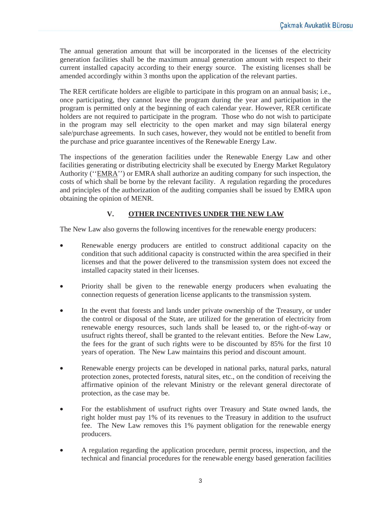The annual generation amount that will be incorporated in the licenses of the electricity generation facilities shall be the maximum annual generation amount with respect to their current installed capacity according to their energy source. The existing licenses shall be amended accordingly within 3 months upon the application of the relevant parties.

The RER certificate holders are eligible to participate in this program on an annual basis; i.e., once participating, they cannot leave the program during the year and participation in the program is permitted only at the beginning of each calendar year. However, RER certificate holders are not required to participate in the program. Those who do not wish to participate in the program may sell electricity to the open market and may sign bilateral energy sale/purchase agreements. In such cases, however, they would not be entitled to benefit from the purchase and price guarantee incentives of the Renewable Energy Law.

The inspections of the generation facilities under the Renewable Energy Law and other facilities generating or distributing electricity shall be executed by Energy Market Regulatory Authority (''EMRA'') or EMRA shall authorize an auditing company for such inspection, the costs of which shall be borne by the relevant facility. A regulation regarding the procedures and principles of the authorization of the auditing companies shall be issued by EMRA upon obtaining the opinion of MENR.

## **V. OTHER INCENTIVES UNDER THE NEW LAW**

The New Law also governs the following incentives for the renewable energy producers:

- Renewable energy producers are entitled to construct additional capacity on the condition that such additional capacity is constructed within the area specified in their licenses and that the power delivered to the transmission system does not exceed the installed capacity stated in their licenses.
- Priority shall be given to the renewable energy producers when evaluating the connection requests of generation license applicants to the transmission system.
- In the event that forests and lands under private ownership of the Treasury, or under the control or disposal of the State, are utilized for the generation of electricity from renewable energy resources, such lands shall be leased to, or the right-of-way or usufruct rights thereof, shall be granted to the relevant entities. Before the New Law, the fees for the grant of such rights were to be discounted by 85% for the first 10 years of operation. The New Law maintains this period and discount amount.
- Renewable energy projects can be developed in national parks, natural parks, natural protection zones, protected forests, natural sites, etc., on the condition of receiving the affirmative opinion of the relevant Ministry or the relevant general directorate of protection, as the case may be.
- For the establishment of usufruct rights over Treasury and State owned lands, the right holder must pay 1% of its revenues to the Treasury in addition to the usufruct fee. The New Law removes this 1% payment obligation for the renewable energy producers.
- A regulation regarding the application procedure, permit process, inspection, and the technical and financial procedures for the renewable energy based generation facilities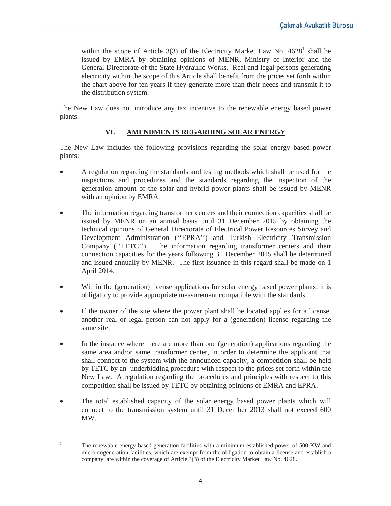within the scope of Article  $3(3)$  of the Electricity Market Law No.  $4628^1$  shall be issued by EMRA by obtaining opinions of MENR, Ministry of Interior and the General Directorate of the State Hydraulic Works. Real and legal persons generating electricity within the scope of this Article shall benefit from the prices set forth within the chart above for ten years if they generate more than their needs and transmit it to the distribution system.

The New Law does not introduce any tax incentive to the renewable energy based power plants.

## **VI. AMENDMENTS REGARDING SOLAR ENERGY**

The New Law includes the following provisions regarding the solar energy based power plants:

- A regulation regarding the standards and testing methods which shall be used for the inspections and procedures and the standards regarding the inspection of the generation amount of the solar and hybrid power plants shall be issued by MENR with an opinion by EMRA.
- The information regarding transformer centers and their connection capacities shall be issued by MENR on an annual basis until 31 December 2015 by obtaining the technical opinions of General Directorate of Electrical Power Resources Survey and Development Administration (''EPRA'') and Turkish Electricity Transmission Company ("TETC"). The information regarding transformer centers and their connection capacities for the years following 31 December 2015 shall be determined and issued annually by MENR. The first issuance in this regard shall be made on 1 April 2014.
- Within the (generation) license applications for solar energy based power plants, it is obligatory to provide appropriate measurement compatible with the standards.
- If the owner of the site where the power plant shall be located applies for a license, another real or legal person can not apply for a (generation) license regarding the same site.
- In the instance where there are more than one (generation) applications regarding the same area and/or same transformer center, in order to determine the applicant that shall connect to the system with the announced capacity, a competition shall be held by TETC by an underbidding procedure with respect to the prices set forth within the New Law. A regulation regarding the procedures and principles with respect to this competition shall be issued by TETC by obtaining opinions of EMRA and EPRA.
- The total established capacity of the solar energy based power plants which will connect to the transmission system until 31 December 2013 shall not exceed 600 MW.

<sup>1</sup> The renewable energy based generation facilities with a minimum established power of 500 KW and micro cogeneration facilities, which are exempt from the obligation to obtain a license and establish a company, are within the coverage of Article 3(3) of the Electricity Market Law No. 4628.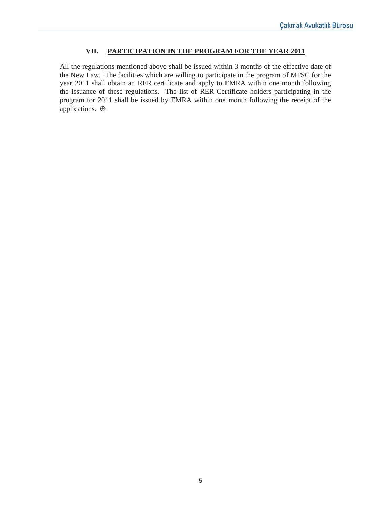### **VII. PARTICIPATION IN THE PROGRAM FOR THE YEAR 2011**

All the regulations mentioned above shall be issued within 3 months of the effective date of the New Law. The facilities which are willing to participate in the program of MFSC for the year 2011 shall obtain an RER certificate and apply to EMRA within one month following the issuance of these regulations. The list of RER Certificate holders participating in the program for 2011 shall be issued by EMRA within one month following the receipt of the applications. ⊕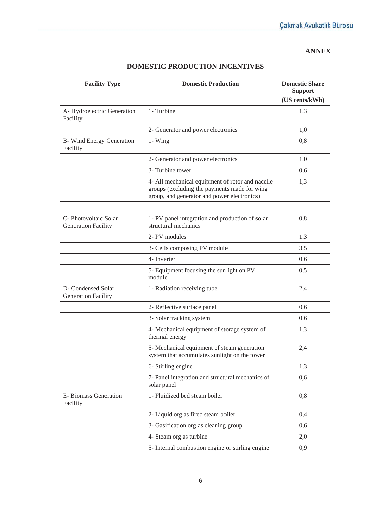### **ANNEX**

| <b>Facility Type</b>                                | <b>Domestic Production</b>                                                                                                                      | <b>Domestic Share</b><br><b>Support</b> |
|-----------------------------------------------------|-------------------------------------------------------------------------------------------------------------------------------------------------|-----------------------------------------|
|                                                     |                                                                                                                                                 | (US cents/kWh)                          |
| A-Hydroelectric Generation<br>Facility              | 1- Turbine                                                                                                                                      | 1,3                                     |
|                                                     | 2- Generator and power electronics                                                                                                              | 1,0                                     |
| <b>B</b> -Wind Energy Generation<br>Facility        | $1 - Wing$                                                                                                                                      | 0,8                                     |
|                                                     | 2- Generator and power electronics                                                                                                              | 1,0                                     |
|                                                     | 3- Turbine tower                                                                                                                                | 0,6                                     |
|                                                     | 4- All mechanical equipment of rotor and nacelle<br>groups (excluding the payments made for wing<br>group, and generator and power electronics) | 1,3                                     |
|                                                     |                                                                                                                                                 |                                         |
| C- Photovoltaic Solar<br><b>Generation Facility</b> | 1- PV panel integration and production of solar<br>structural mechanics                                                                         | 0,8                                     |
|                                                     | 2- PV modules                                                                                                                                   | 1,3                                     |
|                                                     | 3- Cells composing PV module                                                                                                                    | 3,5                                     |
|                                                     | 4- Inverter                                                                                                                                     | 0,6                                     |
|                                                     | 5- Equipment focusing the sunlight on PV<br>module                                                                                              | 0,5                                     |
| D- Condensed Solar<br><b>Generation Facility</b>    | 1- Radiation receiving tube                                                                                                                     | 2,4                                     |
|                                                     | 2- Reflective surface panel                                                                                                                     | 0,6                                     |
|                                                     | 3- Solar tracking system                                                                                                                        | 0,6                                     |
|                                                     | 4- Mechanical equipment of storage system of<br>thermal energy                                                                                  | 1,3                                     |
|                                                     | 5- Mechanical equipment of steam generation<br>system that accumulates sunlight on the tower                                                    | 2,4                                     |
|                                                     | 6- Stirling engine                                                                                                                              | 1,3                                     |
|                                                     | 7- Panel integration and structural mechanics of<br>solar panel                                                                                 | 0,6                                     |
| E- Biomass Generation<br>Facility                   | 1- Fluidized bed steam boiler                                                                                                                   | 0,8                                     |
|                                                     | 2- Liquid org as fired steam boiler                                                                                                             | 0,4                                     |
|                                                     | 3- Gasification org as cleaning group                                                                                                           | 0,6                                     |
|                                                     | 4- Steam org as turbine                                                                                                                         | 2,0                                     |
|                                                     | 5- Internal combustion engine or stirling engine                                                                                                | 0,9                                     |

# **DOMESTIC PRODUCTION INCENTIVES**